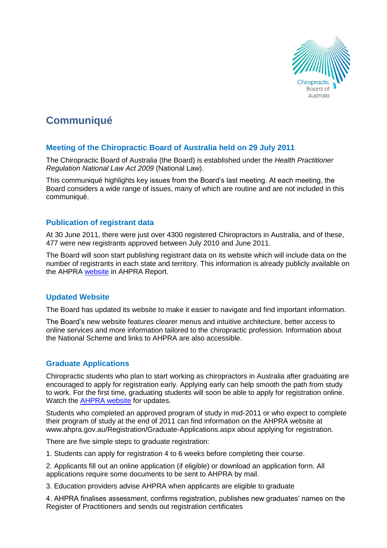

# **Communiqué**

## **Meeting of the Chiropractic Board of Australia held on 29 July 2011**

The Chiropractic Board of Australia (the Board) is established under the *Health Practitioner Regulation National Law Act 2009* (National Law).

This communiqué highlights key issues from the Board's last meeting. At each meeting, the Board considers a wide range of issues, many of which are routine and are not included in this communiqué.

### **Publication of registrant data**

At 30 June 2011, there were just over 4300 registered Chiropractors in Australia, and of these, 477 were new registrants approved between July 2010 and June 2011.

The Board will soon start publishing registrant data on its website which will include data on the number of registrants in each state and territory. This information is already publicly available on the AHPRA [website](http://www.ahpra.gov.au/) in AHPRA Report.

### **Updated Website**

The Board has updated its website to make it easier to navigate and find important information.

The Board's new website features clearer menus and intuitive architecture, better access to online services and more information tailored to the chiropractic profession. Information about the National Scheme and links to AHPRA are also accessible.

### **Graduate Applications**

Chiropractic students who plan to start working as chiropractors in Australia after graduating are encouraged to apply for registration early. Applying early can help smooth the path from study to work. For the first time, graduating students will soon be able to apply for registration online. Watch the [AHPRA website](http://www.ahpra.gov.au/) for updates.

Students who completed an approved program of study in mid-2011 or who expect to complete their program of study at the end of 2011 can find information on the AHPRA website at www.ahpra.gov.au/Registration/Graduate-Applications.aspx about applying for registration.

There are five simple steps to graduate registration:

1. Students can apply for registration 4 to 6 weeks before completing their course.

2. Applicants fill out an online application (if eligible) or download an application form. All applications require some documents to be sent to AHPRA by mail.

3. Education providers advise AHPRA when applicants are eligible to graduate

4. AHPRA finalises assessment, confirms registration, publishes new graduates' names on the Register of Practitioners and sends out registration certificates